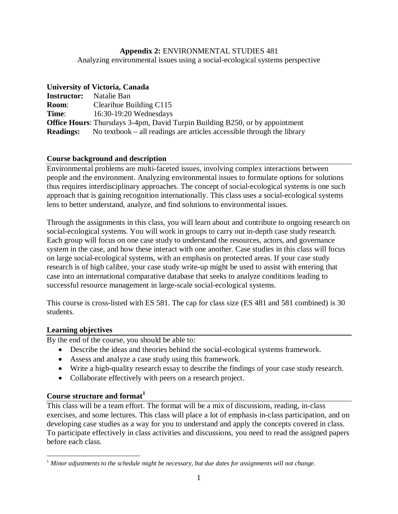# **Appendix 2:** ENVIRONMENTAL STUDIES 481

Analyzing environmental issues using a social-ecological systems perspective

# **University of Victoria, Canada**

| <b>Instructor:</b> | Natalie Ban                                                                         |
|--------------------|-------------------------------------------------------------------------------------|
| <b>Room:</b>       | Clearihue Building C115                                                             |
| Time:              | $16:30-19:20$ Wednesdays                                                            |
|                    | <b>Office Hours:</b> Thursdays 3-4pm, David Turpin Building B250, or by appointment |
| <b>Readings:</b>   | No textbook $-$ all readings are articles accessible through the library            |

# **Course background and description**

Environmental problems are multi-faceted issues, involving complex interactions between people and the environment. Analyzing environmental issues to formulate options for solutions thus requires interdisciplinary approaches. The concept of social-ecological systems is one such approach that is gaining recognition internationally. This class uses a social-ecological systems lens to better understand, analyze, and find solutions to environmental issues.

Through the assignments in this class, you will learn about and contribute to ongoing research on social-ecological systems. You will work in groups to carry out in-depth case study research. Each group will focus on one case study to understand the resources, actors, and governance system in the case, and how these interact with one another. Case studies in this class will focus on large social-ecological systems, with an emphasis on protected areas. If your case study research is of high calibre, your case study write-up might be used to assist with entering that case into an international comparative database that seeks to analyze conditions leading to successful resource management in large-scale social-ecological systems.

This course is cross-listed with ES 581. The cap for class size (ES 481 and 581 combined) is 30 students.

# **Learning objectives**

By the end of the course, you should be able to:

- Describe the ideas and theories behind the social-ecological systems framework.
- Assess and analyze a case study using this framework.
- Write a high-quality research essay to describe the findings of your case study research.
- Collaborate effectively with peers on a research project.

### **Course structure and format<sup>1</sup>**

This class will be a team effort. The format will be a mix of discussions, reading, in-class exercises, and some lectures. This class will place a lot of emphasis in-class participation, and on developing case studies as a way for you to understand and apply the concepts covered in class. To participate effectively in class activities and discussions, you need to read the assigned papers before each class.

 $\overline{a}$ <sup>1</sup> *Minor adjustments to the schedule might be necessary, but due dates for assignments will not change.*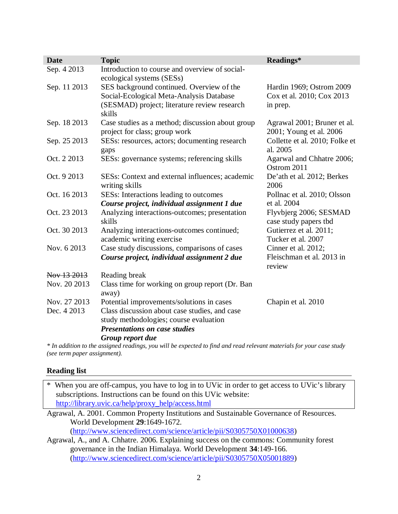| <b>Date</b>  | <b>Topic</b>                                                                                                                | Readings*                                       |
|--------------|-----------------------------------------------------------------------------------------------------------------------------|-------------------------------------------------|
| Sep. 4 2013  | Introduction to course and overview of social-<br>ecological systems (SESs)                                                 |                                                 |
| Sep. 11 2013 | SES background continued. Overview of the                                                                                   | Hardin 1969; Ostrom 2009                        |
|              | Social-Ecological Meta-Analysis Database                                                                                    | Cox et al. 2010; Cox 2013                       |
|              | (SESMAD) project; literature review research<br>skills                                                                      | in prep.                                        |
| Sep. 18 2013 | Case studies as a method; discussion about group                                                                            | Agrawal 2001; Bruner et al.                     |
|              | project for class; group work                                                                                               | 2001; Young et al. 2006                         |
| Sep. 25 2013 | SESs: resources, actors; documenting research<br>gaps                                                                       | Collette et al. 2010; Folke et<br>al. 2005      |
| Oct. 2 2013  | SESs: governance systems; referencing skills                                                                                | Agarwal and Chhatre 2006;                       |
|              |                                                                                                                             | Ostrom 2011                                     |
| Oct. 9 2013  | SESs: Context and external influences; academic                                                                             | De'ath et al. 2012; Berkes                      |
|              | writing skills                                                                                                              | 2006                                            |
| Oct. 16 2013 | SESs: Interactions leading to outcomes                                                                                      | Pollnac et al. 2010; Olsson                     |
|              | Course project, individual assignment 1 due                                                                                 | et al. 2004                                     |
| Oct. 23 2013 | Analyzing interactions-outcomes; presentation<br>skills                                                                     | Flyvbjerg 2006; SESMAD<br>case study papers tbd |
| Oct. 30 2013 | Analyzing interactions-outcomes continued;                                                                                  | Gutierrez et al. 2011;                          |
|              | academic writing exercise                                                                                                   | Tucker et al. 2007                              |
| Nov. 6 2013  | Case study discussions, comparisons of cases                                                                                | Cinner et al. 2012;                             |
|              | Course project, individual assignment 2 due                                                                                 | Fleischman et al. 2013 in<br>review             |
| Nov 13 2013  | Reading break                                                                                                               |                                                 |
| Nov. 20 2013 | Class time for working on group report (Dr. Ban<br>away)                                                                    |                                                 |
| Nov. 27 2013 | Potential improvements/solutions in cases                                                                                   | Chapin et al. 2010                              |
| Dec. 4 2013  | Class discussion about case studies, and case                                                                               |                                                 |
|              | study methodologies; course evaluation<br><b>Presentations on case studies</b>                                              |                                                 |
|              |                                                                                                                             |                                                 |
|              | Group report due<br>$\mathbf{1}$ $\mathbf{1}$ $\mathbf{1}$ $\mathbf{1}$ $\mathbf{1}$ $\mathbf{1}$ $\mathbf{1}$ $\mathbf{1}$ |                                                 |

*\* In addition to the assigned readings, you will be expected to find and read relevant materials for your case study (see term paper assignment).*

#### **Reading list**

\* When you are off-campus, you have to log in to UVic in order to get access to UVic's library subscriptions. Instructions can be found on this UVic website: http://library.uvic.ca/help/proxy\_help/access.html

Agrawal, A. 2001. Common Property Institutions and Sustainable Governance of Resources. World Development **29**:1649-1672. (http://www.sciencedirect.com/science/article/pii/S0305750X01000638)

Agrawal, A., and A. Chhatre. 2006. Explaining success on the commons: Community forest governance in the Indian Himalaya. World Development **34**:149-166. (http://www.sciencedirect.com/science/article/pii/S0305750X05001889)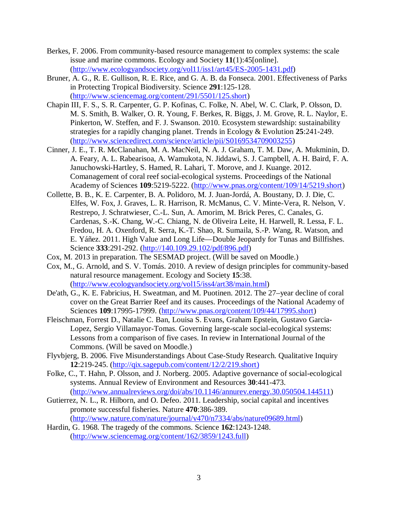- Berkes, F. 2006. From community-based resource management to complex systems: the scale issue and marine commons. Ecology and Society **11**(1):45[online]. (http://www.ecologyandsociety.org/vol11/iss1/art45/ES-2005-1431.pdf)
- Bruner, A. G., R. E. Gullison, R. E. Rice, and G. A. B. da Fonseca. 2001. Effectiveness of Parks in Protecting Tropical Biodiversity. Science **291**:125-128. (http://www.sciencemag.org/content/291/5501/125.short)
- Chapin III, F. S., S. R. Carpenter, G. P. Kofinas, C. Folke, N. Abel, W. C. Clark, P. Olsson, D. M. S. Smith, B. Walker, O. R. Young, F. Berkes, R. Biggs, J. M. Grove, R. L. Naylor, E. Pinkerton, W. Steffen, and F. J. Swanson. 2010. Ecosystem stewardship: sustainability strategies for a rapidly changing planet. Trends in Ecology & Evolution **25**:241-249. (http://www.sciencedirect.com/science/article/pii/S0169534709003255)
- Cinner, J. E., T. R. McClanahan, M. A. MacNeil, N. A. J. Graham, T. M. Daw, A. Mukminin, D. A. Feary, A. L. Rabearisoa, A. Wamukota, N. Jiddawi, S. J. Campbell, A. H. Baird, F. A. Januchowski-Hartley, S. Hamed, R. Lahari, T. Morove, and J. Kuange. 2012. Comanagement of coral reef social-ecological systems. Proceedings of the National Academy of Sciences **109**:5219-5222. (http://www.pnas.org/content/109/14/5219.short)
- Collette, B. B., K. E. Carpenter, B. A. Polidoro, M. J. Juan-Jordá, A. Boustany, D. J. Die, C. Elfes, W. Fox, J. Graves, L. R. Harrison, R. McManus, C. V. Minte-Vera, R. Nelson, V. Restrepo, J. Schratwieser, C.-L. Sun, A. Amorim, M. Brick Peres, C. Canales, G. Cardenas, S.-K. Chang, W.-C. Chiang, N. de Oliveira Leite, H. Harwell, R. Lessa, F. L. Fredou, H. A. Oxenford, R. Serra, K.-T. Shao, R. Sumaila, S.-P. Wang, R. Watson, and E. Yáñez. 2011. High Value and Long Life—Double Jeopardy for Tunas and Billfishes. Science **333**:291-292. (http://140.109.29.102/pdf/896.pdf)
- Cox, M. 2013 in preparation. The SESMAD project. (Will be saved on Moodle.)
- Cox, M., G. Arnold, and S. V. Tomás. 2010. A review of design principles for community-based natural resource management. Ecology and Society **15**:38. (http://www.ecologyandsociety.org/vol15/iss4/art38/main.html)
- De'ath, G., K. E. Fabricius, H. Sweatman, and M. Puotinen. 2012. The 27–year decline of coral cover on the Great Barrier Reef and its causes. Proceedings of the National Academy of Sciences **109**:17995-17999. (http://www.pnas.org/content/109/44/17995.short)
- Fleischman, Forrest D., Natalie C. Ban, Louisa S. Evans, Graham Epstein, Gustavo Garcia-Lopez, Sergio Villamayor-Tomas. Governing large-scale social-ecological systems: Lessons from a comparison of five cases. In review in International Journal of the Commons. (Will be saved on Moodle.)
- Flyvbjerg, B. 2006. Five Misunderstandings About Case-Study Research. Qualitative Inquiry **12**:219-245. (http://qix.sagepub.com/content/12/2/219.short)
- Folke, C., T. Hahn, P. Olsson, and J. Norberg. 2005. Adaptive governance of social-ecological systems. Annual Review of Environment and Resources **30**:441-473. (http://www.annualreviews.org/doi/abs/10.1146/annurev.energy.30.050504.144511)
- Gutierrez, N. L., R. Hilborn, and O. Defeo. 2011. Leadership, social capital and incentives promote successful fisheries. Nature **470**:386-389.

(http://www.nature.com/nature/journal/v470/n7334/abs/nature09689.html)

Hardin, G. 1968. The tragedy of the commons. Science **162**:1243-1248. (http://www.sciencemag.org/content/162/3859/1243.full)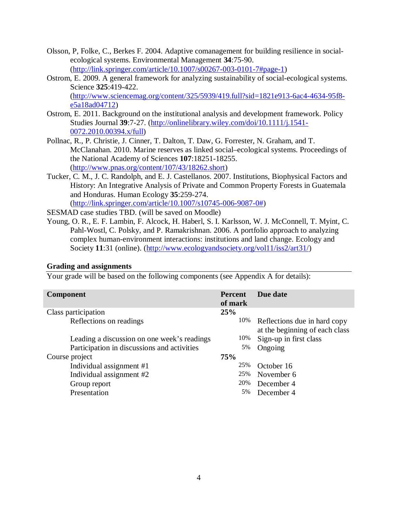- Olsson, P, Folke, C., Berkes F. 2004. Adaptive comanagement for building resilience in socialecological systems. Environmental Management **34**:75-90. (http://link.springer.com/article/10.1007/s00267-003-0101-7#page-1)
- Ostrom, E. 2009. A general framework for analyzing sustainability of social-ecological systems. Science **325**:419-422. (http://www.sciencemag.org/content/325/5939/419.full?sid=1821e913-6ac4-4634-95f8 e5a18ad04712)
- Ostrom, E. 2011. Background on the institutional analysis and development framework. Policy Studies Journal **39**:7-27. (http://onlinelibrary.wiley.com/doi/10.1111/j.1541- 0072.2010.00394.x/full)
- Pollnac, R., P. Christie, J. Cinner, T. Dalton, T. Daw, G. Forrester, N. Graham, and T. McClanahan. 2010. Marine reserves as linked social–ecological systems. Proceedings of the National Academy of Sciences **107**:18251-18255. (http://www.pnas.org/content/107/43/18262.short)
- Tucker, C. M., J. C. Randolph, and E. J. Castellanos. 2007. Institutions, Biophysical Factors and History: An Integrative Analysis of Private and Common Property Forests in Guatemala and Honduras. Human Ecology **35**:259-274. (http://link.springer.com/article/10.1007/s10745-006-9087-0#)

SESMAD case studies TBD. (will be saved on Moodle)

Young, O. R., E. F. Lambin, F. Alcock, H. Haberl, S. I. Karlsson, W. J. McConnell, T. Myint, C. Pahl-Wostl, C. Polsky, and P. Ramakrishnan. 2006. A portfolio approach to analyzing complex human-environment interactions: institutions and land change. Ecology and Society **11**:31 (online). (http://www.ecologyandsociety.org/vol11/iss2/art31/)

#### **Grading and assignments**

Your grade will be based on the following components (see Appendix A for details):

| <b>Component</b>                            | <b>Percent</b><br>of mark | Due date                                                       |
|---------------------------------------------|---------------------------|----------------------------------------------------------------|
| Class participation                         | 25%                       |                                                                |
| Reflections on readings                     | 10%                       | Reflections due in hard copy<br>at the beginning of each class |
| Leading a discussion on one week's readings | 10%                       | Sign-up in first class                                         |
| Participation in discussions and activities | 5%                        | Ongoing                                                        |
| Course project                              | <b>75%</b>                |                                                                |
| Individual assignment #1                    | 25%                       | October 16                                                     |
| Individual assignment #2                    | 25%                       | November 6                                                     |
| Group report                                | 20%                       | December 4                                                     |
| Presentation                                | 5%                        | December 4                                                     |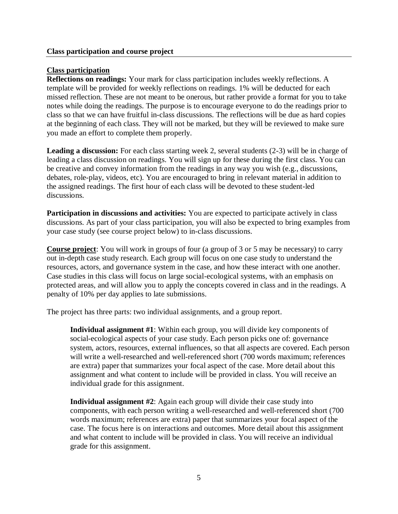## **Class participation**

**Reflections on readings:** Your mark for class participation includes weekly reflections. A template will be provided for weekly reflections on readings. 1% will be deducted for each missed reflection. These are not meant to be onerous, but rather provide a format for you to take notes while doing the readings. The purpose is to encourage everyone to do the readings prior to class so that we can have fruitful in-class discussions. The reflections will be due as hard copies at the beginning of each class. They will not be marked, but they will be reviewed to make sure you made an effort to complete them properly.

**Leading a discussion:** For each class starting week 2, several students (2-3) will be in charge of leading a class discussion on readings. You will sign up for these during the first class. You can be creative and convey information from the readings in any way you wish (e.g., discussions, debates, role-play, videos, etc). You are encouraged to bring in relevant material in addition to the assigned readings. The first hour of each class will be devoted to these student-led discussions.

**Participation in discussions and activities:** You are expected to participate actively in class discussions. As part of your class participation, you will also be expected to bring examples from your case study (see course project below) to in-class discussions.

**Course project**: You will work in groups of four (a group of 3 or 5 may be necessary) to carry out in-depth case study research. Each group will focus on one case study to understand the resources, actors, and governance system in the case, and how these interact with one another. Case studies in this class will focus on large social-ecological systems, with an emphasis on protected areas, and will allow you to apply the concepts covered in class and in the readings. A penalty of 10% per day applies to late submissions.

The project has three parts: two individual assignments, and a group report.

**Individual assignment #1**: Within each group, you will divide key components of social-ecological aspects of your case study. Each person picks one of: governance system, actors, resources, external influences, so that all aspects are covered. Each person will write a well-researched and well-referenced short (700 words maximum; references are extra) paper that summarizes your focal aspect of the case. More detail about this assignment and what content to include will be provided in class. You will receive an individual grade for this assignment.

**Individual assignment #2**: Again each group will divide their case study into components, with each person writing a well-researched and well-referenced short (700 words maximum; references are extra) paper that summarizes your focal aspect of the case. The focus here is on interactions and outcomes. More detail about this assignment and what content to include will be provided in class. You will receive an individual grade for this assignment.